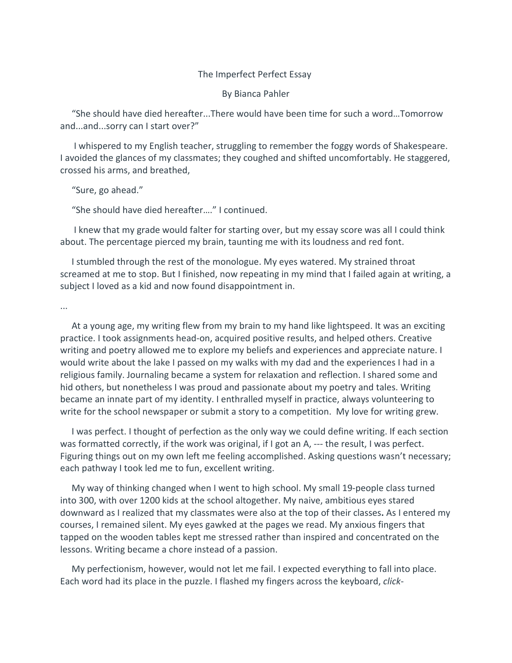## The Imperfect Perfect Essay

By Bianca Pahler

"She should have died hereafter...There would have been time for such a word…Tomorrow and...and...sorry can I start over?"

I whispered to my English teacher, struggling to remember the foggy words of Shakespeare. I avoided the glances of my classmates; they coughed and shifted uncomfortably. He staggered, crossed his arms, and breathed,

"Sure, go ahead."

"She should have died hereafter…." I continued.

I knew that my grade would falter for starting over, but my essay score was all I could think about. The percentage pierced my brain, taunting me with its loudness and red font.

I stumbled through the rest of the monologue. My eyes watered. My strained throat screamed at me to stop. But I finished, now repeating in my mind that I failed again at writing, a subject I loved as a kid and now found disappointment in.

...

At a young age, my writing flew from my brain to my hand like lightspeed. It was an exciting practice. I took assignments head-on, acquired positive results, and helped others. Creative writing and poetry allowed me to explore my beliefs and experiences and appreciate nature. I would write about the lake I passed on my walks with my dad and the experiences I had in a religious family. Journaling became a system for relaxation and reflection. I shared some and hid others, but nonetheless I was proud and passionate about my poetry and tales. Writing became an innate part of my identity. I enthralled myself in practice, always volunteering to write for the school newspaper or submit a story to a competition. My love for writing grew.

I was perfect. I thought of perfection as the only way we could define writing. If each section was formatted correctly, if the work was original, if I got an A, --- the result, I was perfect. Figuring things out on my own left me feeling accomplished. Asking questions wasn't necessary; each pathway I took led me to fun, excellent writing.

My way of thinking changed when I went to high school. My small 19-people class turned into 300, with over 1200 kids at the school altogether. My naive, ambitious eyes stared downward as I realized that my classmates were also at the top of their classes**.** As I entered my courses, I remained silent. My eyes gawked at the pages we read. My anxious fingers that tapped on the wooden tables kept me stressed rather than inspired and concentrated on the lessons. Writing became a chore instead of a passion.

My perfectionism, however, would not let me fail. I expected everything to fall into place. Each word had its place in the puzzle. I flashed my fingers across the keyboard, *click-*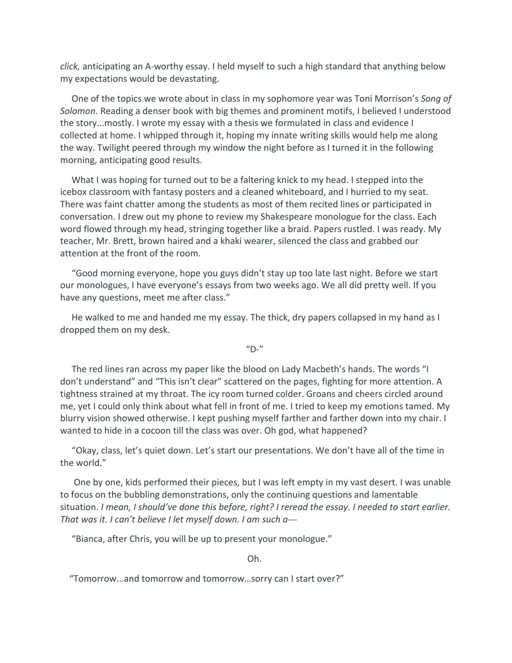*click,* anticipating an A-worthy essay. I held myself to such a high standard that anything below my expectations would be devastating.

One of the topics we wrote about in class in my sophomore year was Toni Morrison's *Song of Solomon*. Reading a denser book with big themes and prominent motifs, I believed I understood the story...mostly. I wrote my essay with a thesis we formulated in class and evidence I collected at home. I whipped through it, hoping my innate writing skills would help me along the way. Twilight peered through my window the night before as I turned it in the following morning, anticipating good results.

What I was hoping for turned out to be a faltering knick to my head. I stepped into the icebox classroom with fantasy posters and a cleaned whiteboard, and I hurried to my seat. There was faint chatter among the students as most of them recited lines or participated in conversation. I drew out my phone to review my Shakespeare monologue for the class. Each word flowed through my head, stringing together like a braid. Papers rustled. I was ready. My teacher, Mr. Brett, brown haired and a khaki wearer, silenced the class and grabbed our attention at the front of the room.

"Good morning everyone, hope you guys didn't stay up too late last night. Before we start our monologues, I have everyone's essays from two weeks ago. We all did pretty well. If you have any questions, meet me after class."

He walked to me and handed me my essay. The thick, dry papers collapsed in my hand as I dropped them on my desk.

 $''D-''$ 

The red lines ran across my paper like the blood on Lady Macbeth's hands. The words "I don't understand" and "This isn't clear" scattered on the pages, fighting for more attention. A tightness strained at my throat. The icy room turned colder. Groans and cheers circled around me, yet I could only think about what fell in front of me. I tried to keep my emotions tamed. My blurry vision showed otherwise. I kept pushing myself farther and farther down into my chair. I wanted to hide in a cocoon till the class was over. Oh god, what happened?

"Okay, class, let's quiet down. Let's start our presentations. We don't have all of the time in the world."

One by one, kids performed their pieces, but I was left empty in my vast desert. I was unable to focus on the bubbling demonstrations, only the continuing questions and lamentable situation. *I mean, I should've done this before, right? I reread the essay. I needed to start earlier. That was it. I can't believe I let myself down. I am such a---*

"Bianca, after Chris, you will be up to present your monologue."

Oh.

"Tomorrow...and tomorrow and tomorrow…sorry can I start over?"